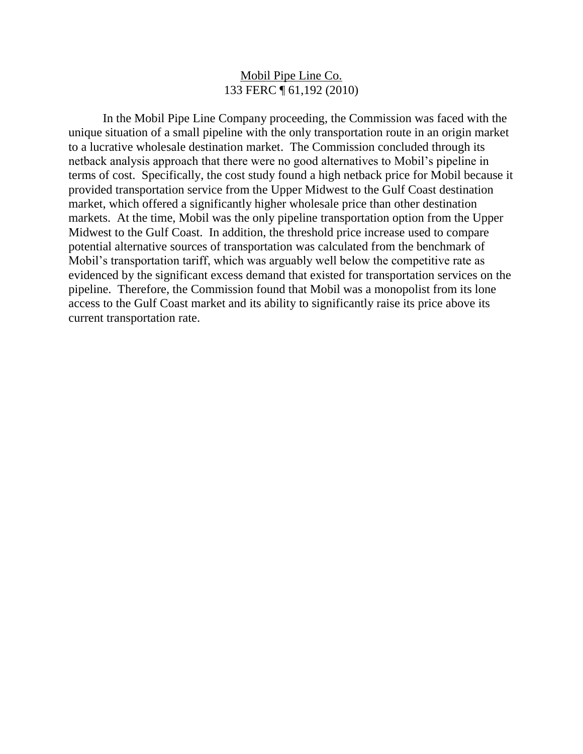## Mobil Pipe Line Co. 133 FERC ¶ 61,192 (2010)

In the Mobil Pipe Line Company proceeding, the Commission was faced with the unique situation of a small pipeline with the only transportation route in an origin market to a lucrative wholesale destination market. The Commission concluded through its netback analysis approach that there were no good alternatives to Mobil's pipeline in terms of cost. Specifically, the cost study found a high netback price for Mobil because it provided transportation service from the Upper Midwest to the Gulf Coast destination market, which offered a significantly higher wholesale price than other destination markets. At the time, Mobil was the only pipeline transportation option from the Upper Midwest to the Gulf Coast. In addition, the threshold price increase used to compare potential alternative sources of transportation was calculated from the benchmark of Mobil's transportation tariff, which was arguably well below the competitive rate as evidenced by the significant excess demand that existed for transportation services on the pipeline. Therefore, the Commission found that Mobil was a monopolist from its lone access to the Gulf Coast market and its ability to significantly raise its price above its current transportation rate.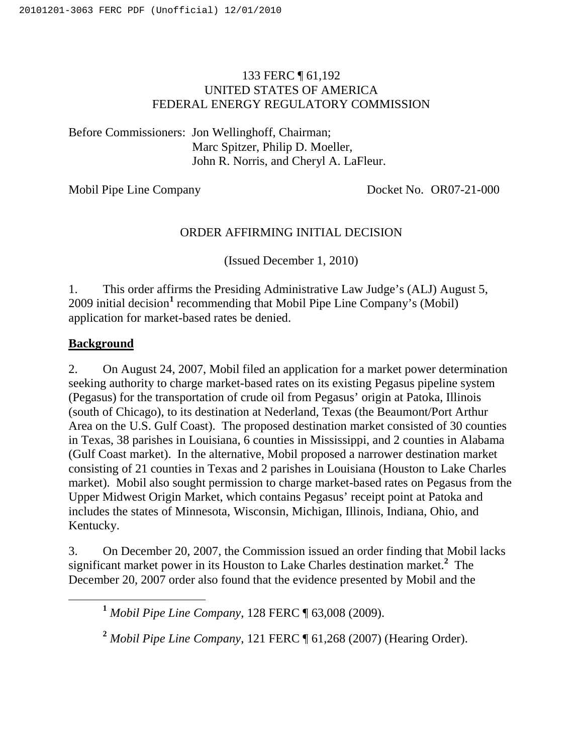# 133 FERC ¶ 61,192 UNITED STATES OF AMERICA FEDERAL ENERGY REGULATORY COMMISSION

Before Commissioners: Jon Wellinghoff, Chairman; Marc Spitzer, Philip D. Moeller, John R. Norris, and Cheryl A. LaFleur.

Mobil Pipe Line Company Docket No. OR07-21-000

## ORDER AFFIRMING INITIAL DECISION

(Issued December 1, 2010)

1. This order affirms the Presiding Administrative Law Judge's (ALJ) August 5, 2009 initial decision **1** recommending that Mobil Pipe Line Company's (Mobil) application for market-based rates be denied.

# **Background**

2. On August 24, 2007, Mobil filed an application for a market power determination seeking authority to charge market-based rates on its existing Pegasus pipeline system (Pegasus) for the transportation of crude oil from Pegasus' origin at Patoka, Illinois (south of Chicago), to its destination at Nederland, Texas (the Beaumont/Port Arthur Area on the U.S. Gulf Coast). The proposed destination market consisted of 30 counties in Texas, 38 parishes in Louisiana, 6 counties in Mississippi, and 2 counties in Alabama (Gulf Coast market). In the alternative, Mobil proposed a narrower destination market consisting of 21 counties in Texas and 2 parishes in Louisiana (Houston to Lake Charles market). Mobil also sought permission to charge market-based rates on Pegasus from the Upper Midwest Origin Market, which contains Pegasus' receipt point at Patoka and includes the states of Minnesota, Wisconsin, Michigan, Illinois, Indiana, Ohio, and Kentucky.

3. On December 20, 2007, the Commission issued an order finding that Mobil lacks significant market power in its Houston to Lake Charles destination market. **<sup>2</sup>** The December 20, 2007 order also found that the evidence presented by Mobil and the

**<sup>1</sup>** *Mobil Pipe Line Company*, 128 FERC ¶ 63,008 (2009).

**<sup>2</sup>** *Mobil Pipe Line Company*, 121 FERC ¶ 61,268 (2007) (Hearing Order).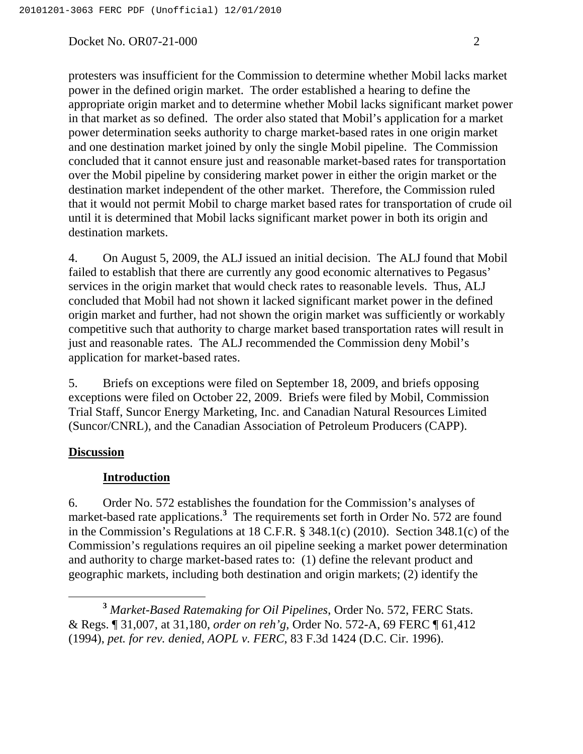protesters was insufficient for the Commission to determine whether Mobil lacks market power in the defined origin market. The order established a hearing to define the appropriate origin market and to determine whether Mobil lacks significant market power in that market as so defined. The order also stated that Mobil's application for a market power determination seeks authority to charge market-based rates in one origin market and one destination market joined by only the single Mobil pipeline. The Commission concluded that it cannot ensure just and reasonable market-based rates for transportation over the Mobil pipeline by considering market power in either the origin market or the destination market independent of the other market. Therefore, the Commission ruled that it would not permit Mobil to charge market based rates for transportation of crude oil until it is determined that Mobil lacks significant market power in both its origin and destination markets.

4. On August 5, 2009, the ALJ issued an initial decision. The ALJ found that Mobil failed to establish that there are currently any good economic alternatives to Pegasus' services in the origin market that would check rates to reasonable levels. Thus, ALJ concluded that Mobil had not shown it lacked significant market power in the defined origin market and further, had not shown the origin market was sufficiently or workably competitive such that authority to charge market based transportation rates will result in just and reasonable rates. The ALJ recommended the Commission deny Mobil's application for market-based rates.

5. Briefs on exceptions were filed on September 18, 2009, and briefs opposing exceptions were filed on October 22, 2009. Briefs were filed by Mobil, Commission Trial Staff, Suncor Energy Marketing, Inc. and Canadian Natural Resources Limited (Suncor/CNRL), and the Canadian Association of Petroleum Producers (CAPP).

## **Discussion**

### **Introduction**

6. Order No. 572 establishes the foundation for the Commission's analyses of market-based rate applications. **<sup>3</sup>** The requirements set forth in Order No. 572 are found in the Commission's Regulations at 18 C.F.R. § 348.1(c) (2010). Section 348.1(c) of the Commission's regulations requires an oil pipeline seeking a market power determination and authority to charge market-based rates to: (1) define the relevant product and geographic markets, including both destination and origin markets; (2) identify the

**<sup>3</sup>** *Market-Based Ratemaking for Oil Pipelines*, Order No. 572, FERC Stats. & Regs. ¶ 31,007, at 31,180, *order on reh'g,* Order No. 572-A, 69 FERC ¶ 61,412 (1994), *pet. for rev. denied, AOPL v. FERC*, 83 F.3d 1424 (D.C. Cir. 1996).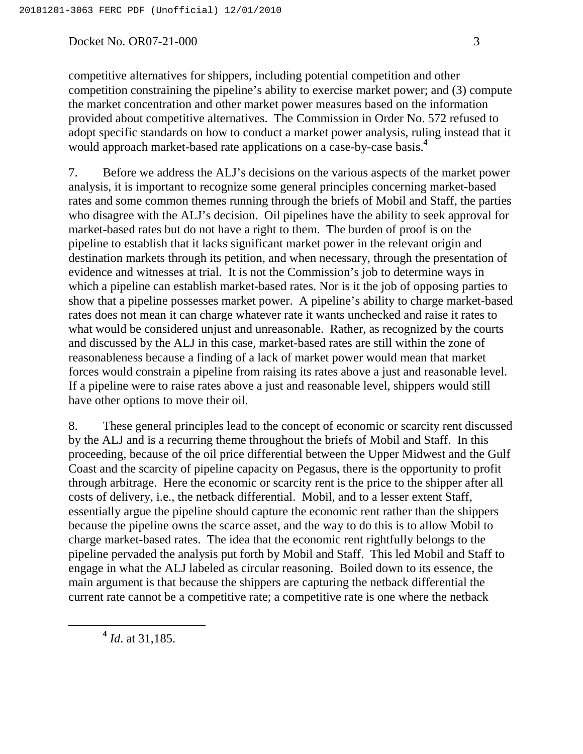7. Before we address the ALJ's decisions on the various aspects of the market power analysis, it is important to recognize some general principles concerning market-based rates and some common themes running through the briefs of Mobil and Staff, the parties who disagree with the ALJ's decision. Oil pipelines have the ability to seek approval for market-based rates but do not have a right to them. The burden of proof is on the pipeline to establish that it lacks significant market power in the relevant origin and destination markets through its petition, and when necessary, through the presentation of evidence and witnesses at trial. It is not the Commission's job to determine ways in which a pipeline can establish market-based rates. Nor is it the job of opposing parties to show that a pipeline possesses market power. A pipeline's ability to charge market-based rates does not mean it can charge whatever rate it wants unchecked and raise it rates to what would be considered unjust and unreasonable. Rather, as recognized by the courts and discussed by the ALJ in this case, market-based rates are still within the zone of reasonableness because a finding of a lack of market power would mean that market forces would constrain a pipeline from raising its rates above a just and reasonable level. If a pipeline were to raise rates above a just and reasonable level, shippers would still have other options to move their oil.

8. These general principles lead to the concept of economic or scarcity rent discussed by the ALJ and is a recurring theme throughout the briefs of Mobil and Staff. In this proceeding, because of the oil price differential between the Upper Midwest and the Gulf Coast and the scarcity of pipeline capacity on Pegasus, there is the opportunity to profit through arbitrage. Here the economic or scarcity rent is the price to the shipper after all costs of delivery, i.e., the netback differential. Mobil, and to a lesser extent Staff, essentially argue the pipeline should capture the economic rent rather than the shippers because the pipeline owns the scarce asset, and the way to do this is to allow Mobil to charge market-based rates. The idea that the economic rent rightfully belongs to the pipeline pervaded the analysis put forth by Mobil and Staff. This led Mobil and Staff to engage in what the ALJ labeled as circular reasoning. Boiled down to its essence, the main argument is that because the shippers are capturing the netback differential the current rate cannot be a competitive rate; a competitive rate is one where the netback

**<sup>4</sup>** *Id*. at 31,185.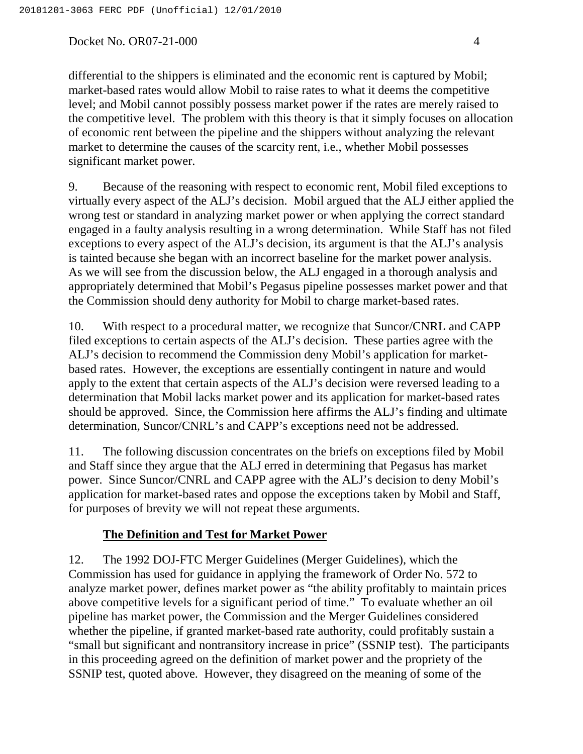differential to the shippers is eliminated and the economic rent is captured by Mobil; market-based rates would allow Mobil to raise rates to what it deems the competitive level; and Mobil cannot possibly possess market power if the rates are merely raised to the competitive level. The problem with this theory is that it simply focuses on allocation of economic rent between the pipeline and the shippers without analyzing the relevant market to determine the causes of the scarcity rent, i.e., whether Mobil possesses significant market power.

9. Because of the reasoning with respect to economic rent, Mobil filed exceptions to virtually every aspect of the ALJ's decision. Mobil argued that the ALJ either applied the wrong test or standard in analyzing market power or when applying the correct standard engaged in a faulty analysis resulting in a wrong determination. While Staff has not filed exceptions to every aspect of the ALJ's decision, its argument is that the ALJ's analysis is tainted because she began with an incorrect baseline for the market power analysis. As we will see from the discussion below, the ALJ engaged in a thorough analysis and appropriately determined that Mobil's Pegasus pipeline possesses market power and that the Commission should deny authority for Mobil to charge market-based rates.

10. With respect to a procedural matter, we recognize that Suncor/CNRL and CAPP filed exceptions to certain aspects of the ALJ's decision. These parties agree with the ALJ's decision to recommend the Commission deny Mobil's application for marketbased rates. However, the exceptions are essentially contingent in nature and would apply to the extent that certain aspects of the ALJ's decision were reversed leading to a determination that Mobil lacks market power and its application for market-based rates should be approved. Since, the Commission here affirms the ALJ's finding and ultimate determination, Suncor/CNRL's and CAPP's exceptions need not be addressed.

11. The following discussion concentrates on the briefs on exceptions filed by Mobil and Staff since they argue that the ALJ erred in determining that Pegasus has market power. Since Suncor/CNRL and CAPP agree with the ALJ's decision to deny Mobil's application for market-based rates and oppose the exceptions taken by Mobil and Staff, for purposes of brevity we will not repeat these arguments.

# **The Definition and Test for Market Power**

12. The 1992 DOJ-FTC Merger Guidelines (Merger Guidelines), which the Commission has used for guidance in applying the framework of Order No. 572 to analyze market power, defines market power as "the ability profitably to maintain prices above competitive levels for a significant period of time." To evaluate whether an oil pipeline has market power, the Commission and the Merger Guidelines considered whether the pipeline, if granted market-based rate authority, could profitably sustain a "small but significant and nontransitory increase in price" (SSNIP test). The participants in this proceeding agreed on the definition of market power and the propriety of the SSNIP test, quoted above. However, they disagreed on the meaning of some of the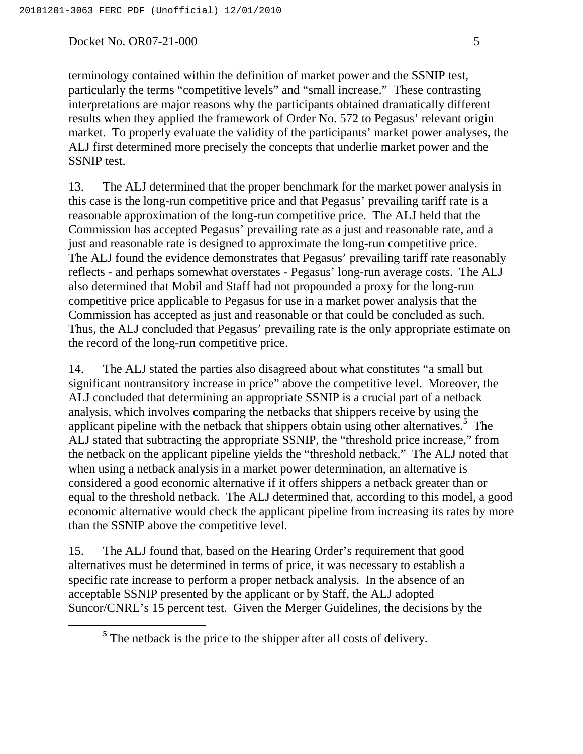terminology contained within the definition of market power and the SSNIP test, particularly the terms "competitive levels" and "small increase." These contrasting interpretations are major reasons why the participants obtained dramatically different results when they applied the framework of Order No. 572 to Pegasus' relevant origin market. To properly evaluate the validity of the participants' market power analyses, the ALJ first determined more precisely the concepts that underlie market power and the SSNIP test.

13. The ALJ determined that the proper benchmark for the market power analysis in this case is the long-run competitive price and that Pegasus' prevailing tariff rate is a reasonable approximation of the long-run competitive price. The ALJ held that the Commission has accepted Pegasus' prevailing rate as a just and reasonable rate, and a just and reasonable rate is designed to approximate the long-run competitive price. The ALJ found the evidence demonstrates that Pegasus' prevailing tariff rate reasonably reflects - and perhaps somewhat overstates - Pegasus' long-run average costs. The ALJ also determined that Mobil and Staff had not propounded a proxy for the long-run competitive price applicable to Pegasus for use in a market power analysis that the Commission has accepted as just and reasonable or that could be concluded as such. Thus, the ALJ concluded that Pegasus' prevailing rate is the only appropriate estimate on the record of the long-run competitive price.

14. The ALJ stated the parties also disagreed about what constitutes "a small but significant nontransitory increase in price" above the competitive level. Moreover, the ALJ concluded that determining an appropriate SSNIP is a crucial part of a netback analysis, which involves comparing the netbacks that shippers receive by using the applicant pipeline with the netback that shippers obtain using other alternatives. **<sup>5</sup>** The ALJ stated that subtracting the appropriate SSNIP, the "threshold price increase," from the netback on the applicant pipeline yields the "threshold netback." The ALJ noted that when using a netback analysis in a market power determination, an alternative is considered a good economic alternative if it offers shippers a netback greater than or equal to the threshold netback. The ALJ determined that, according to this model, a good economic alternative would check the applicant pipeline from increasing its rates by more than the SSNIP above the competitive level.

15. The ALJ found that, based on the Hearing Order's requirement that good alternatives must be determined in terms of price, it was necessary to establish a specific rate increase to perform a proper netback analysis. In the absence of an acceptable SSNIP presented by the applicant or by Staff, the ALJ adopted Suncor/CNRL's 15 percent test. Given the Merger Guidelines, the decisions by the

**<sup>5</sup>** The netback is the price to the shipper after all costs of delivery.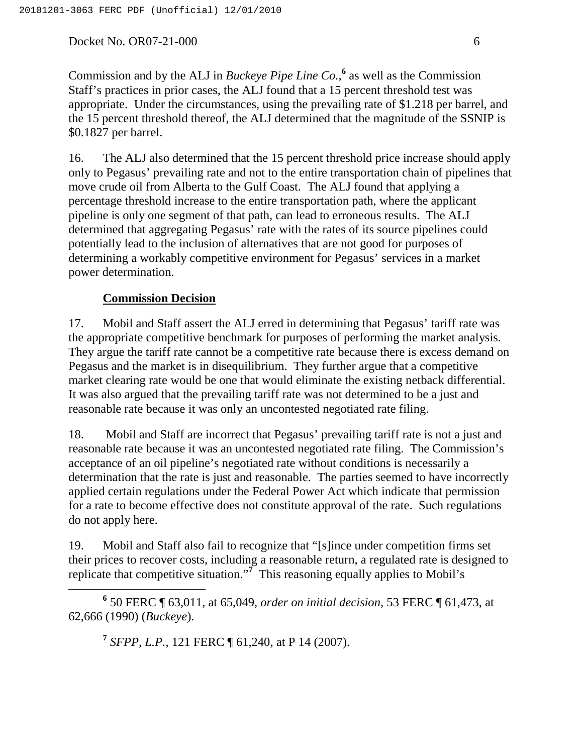Commission and by the ALJ in *Buckeye Pipe Line Co.*, **<sup>6</sup>** as well as the Commission Staff's practices in prior cases, the ALJ found that a 15 percent threshold test was appropriate. Under the circumstances, using the prevailing rate of \$1.218 per barrel, and the 15 percent threshold thereof, the ALJ determined that the magnitude of the SSNIP is \$0.1827 per barrel.

16. The ALJ also determined that the 15 percent threshold price increase should apply only to Pegasus' prevailing rate and not to the entire transportation chain of pipelines that move crude oil from Alberta to the Gulf Coast. The ALJ found that applying a percentage threshold increase to the entire transportation path, where the applicant pipeline is only one segment of that path, can lead to erroneous results. The ALJ determined that aggregating Pegasus' rate with the rates of its source pipelines could potentially lead to the inclusion of alternatives that are not good for purposes of determining a workably competitive environment for Pegasus' services in a market power determination.

# **Commission Decision**

17. Mobil and Staff assert the ALJ erred in determining that Pegasus' tariff rate was the appropriate competitive benchmark for purposes of performing the market analysis. They argue the tariff rate cannot be a competitive rate because there is excess demand on Pegasus and the market is in disequilibrium. They further argue that a competitive market clearing rate would be one that would eliminate the existing netback differential. It was also argued that the prevailing tariff rate was not determined to be a just and reasonable rate because it was only an uncontested negotiated rate filing.

18. Mobil and Staff are incorrect that Pegasus' prevailing tariff rate is not a just and reasonable rate because it was an uncontested negotiated rate filing. The Commission's acceptance of an oil pipeline's negotiated rate without conditions is necessarily a determination that the rate is just and reasonable. The parties seemed to have incorrectly applied certain regulations under the Federal Power Act which indicate that permission for a rate to become effective does not constitute approval of the rate. Such regulations do not apply here.

19. Mobil and Staff also fail to recognize that "[s]ince under competition firms set their prices to recover costs, including a reasonable return, a regulated rate is designed to replicate that competitive situation."<sup>7</sup> This reasoning equally applies to Mobil's

**<sup>6</sup>** 50 FERC ¶ 63,011, at 65,049, *order on initial decision,* 53 FERC ¶ 61,473, at 62,666 (1990) (*Buckeye*).

**<sup>7</sup>** *SFPP, L.P.,* 121 FERC ¶ 61,240, at P 14 (2007).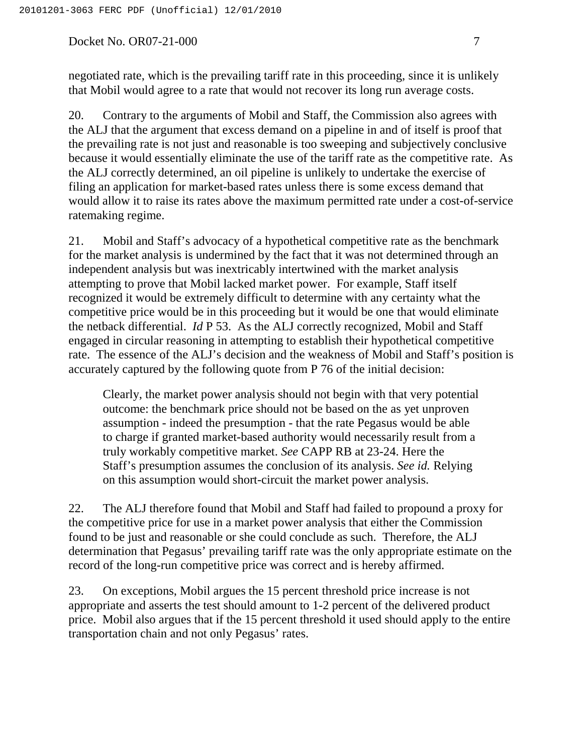negotiated rate, which is the prevailing tariff rate in this proceeding, since it is unlikely that Mobil would agree to a rate that would not recover its long run average costs.

20. Contrary to the arguments of Mobil and Staff, the Commission also agrees with the ALJ that the argument that excess demand on a pipeline in and of itself is proof that the prevailing rate is not just and reasonable is too sweeping and subjectively conclusive because it would essentially eliminate the use of the tariff rate as the competitive rate. As the ALJ correctly determined, an oil pipeline is unlikely to undertake the exercise of filing an application for market-based rates unless there is some excess demand that would allow it to raise its rates above the maximum permitted rate under a cost-of-service ratemaking regime.

21. Mobil and Staff's advocacy of a hypothetical competitive rate as the benchmark for the market analysis is undermined by the fact that it was not determined through an independent analysis but was inextricably intertwined with the market analysis attempting to prove that Mobil lacked market power. For example, Staff itself recognized it would be extremely difficult to determine with any certainty what the competitive price would be in this proceeding but it would be one that would eliminate the netback differential. *Id* P 53. As the ALJ correctly recognized, Mobil and Staff engaged in circular reasoning in attempting to establish their hypothetical competitive rate. The essence of the ALJ's decision and the weakness of Mobil and Staff's position is accurately captured by the following quote from P 76 of the initial decision:

Clearly, the market power analysis should not begin with that very potential outcome: the benchmark price should not be based on the as yet unproven assumption - indeed the presumption - that the rate Pegasus would be able to charge if granted market-based authority would necessarily result from a truly workably competitive market. *See* CAPP RB at 23-24. Here the Staff's presumption assumes the conclusion of its analysis. *See id.* Relying on this assumption would short-circuit the market power analysis.

22. The ALJ therefore found that Mobil and Staff had failed to propound a proxy for the competitive price for use in a market power analysis that either the Commission found to be just and reasonable or she could conclude as such. Therefore, the ALJ determination that Pegasus' prevailing tariff rate was the only appropriate estimate on the record of the long-run competitive price was correct and is hereby affirmed.

23. On exceptions, Mobil argues the 15 percent threshold price increase is not appropriate and asserts the test should amount to 1-2 percent of the delivered product price. Mobil also argues that if the 15 percent threshold it used should apply to the entire transportation chain and not only Pegasus' rates.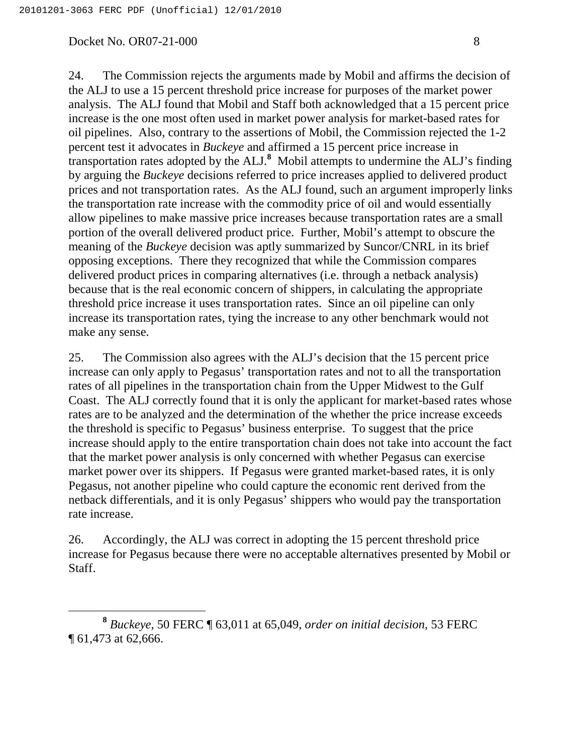24. The Commission rejects the arguments made by Mobil and affirms the decision of the ALJ to use a 15 percent threshold price increase for purposes of the market power analysis. The ALJ found that Mobil and Staff both acknowledged that a 15 percent price increase is the one most often used in market power analysis for market-based rates for oil pipelines. Also, contrary to the assertions of Mobil, the Commission rejected the 1-2 percent test it advocates in *Buckeye* and affirmed a 15 percent price increase in transportation rates adopted by the ALJ. **<sup>8</sup>** Mobil attempts to undermine the ALJ's finding by arguing the *Buckeye* decisions referred to price increases applied to delivered product prices and not transportation rates. As the ALJ found, such an argument improperly links the transportation rate increase with the commodity price of oil and would essentially allow pipelines to make massive price increases because transportation rates are a small portion of the overall delivered product price. Further, Mobil's attempt to obscure the meaning of the *Buckeye* decision was aptly summarized by Suncor/CNRL in its brief opposing exceptions. There they recognized that while the Commission compares delivered product prices in comparing alternatives (i.e. through a netback analysis) because that is the real economic concern of shippers, in calculating the appropriate threshold price increase it uses transportation rates. Since an oil pipeline can only increase its transportation rates, tying the increase to any other benchmark would not make any sense.

25. The Commission also agrees with the ALJ's decision that the 15 percent price increase can only apply to Pegasus' transportation rates and not to all the transportation rates of all pipelines in the transportation chain from the Upper Midwest to the Gulf Coast. The ALJ correctly found that it is only the applicant for market-based rates whose rates are to be analyzed and the determination of the whether the price increase exceeds the threshold is specific to Pegasus' business enterprise. To suggest that the price increase should apply to the entire transportation chain does not take into account the fact that the market power analysis is only concerned with whether Pegasus can exercise market power over its shippers. If Pegasus were granted market-based rates, it is only Pegasus, not another pipeline who could capture the economic rent derived from the netback differentials, and it is only Pegasus' shippers who would pay the transportation rate increase.

26. Accordingly, the ALJ was correct in adopting the 15 percent threshold price increase for Pegasus because there were no acceptable alternatives presented by Mobil or Staff.

**<sup>8</sup>** *Buckeye,* 50 FERC ¶ 63,011 at 65,049, *order on initial decision,* 53 FERC ¶ 61,473 at 62,666.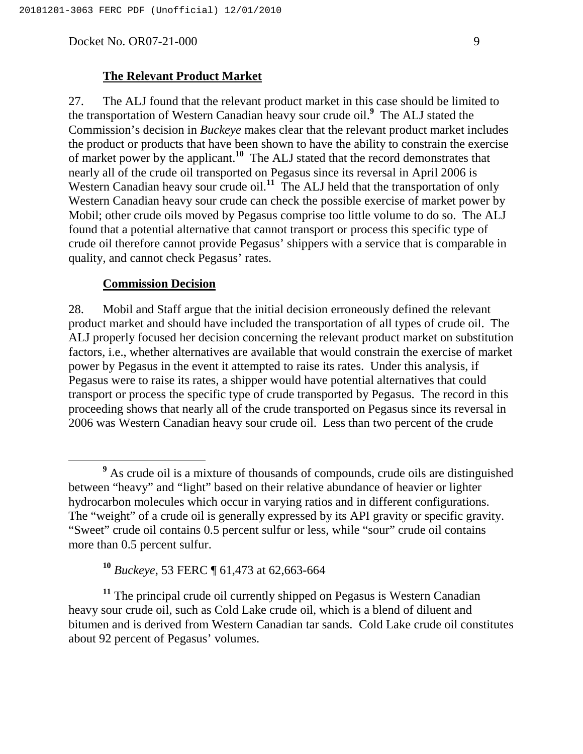### **The Relevant Product Market**

27. The ALJ found that the relevant product market in this case should be limited to the transportation of Western Canadian heavy sour crude oil. **<sup>9</sup>** The ALJ stated the Commission's decision in *Buckeye* makes clear that the relevant product market includes the product or products that have been shown to have the ability to constrain the exercise of market power by the applicant. **<sup>10</sup>** The ALJ stated that the record demonstrates that nearly all of the crude oil transported on Pegasus since its reversal in April 2006 is Western Canadian heavy sour crude oil.<sup>11</sup> The ALJ held that the transportation of only Western Canadian heavy sour crude can check the possible exercise of market power by Mobil; other crude oils moved by Pegasus comprise too little volume to do so. The ALJ found that a potential alternative that cannot transport or process this specific type of crude oil therefore cannot provide Pegasus' shippers with a service that is comparable in quality, and cannot check Pegasus' rates.

### **Commission Decision**

28. Mobil and Staff argue that the initial decision erroneously defined the relevant product market and should have included the transportation of all types of crude oil. The ALJ properly focused her decision concerning the relevant product market on substitution factors, i.e., whether alternatives are available that would constrain the exercise of market power by Pegasus in the event it attempted to raise its rates. Under this analysis, if Pegasus were to raise its rates, a shipper would have potential alternatives that could transport or process the specific type of crude transported by Pegasus. The record in this proceeding shows that nearly all of the crude transported on Pegasus since its reversal in 2006 was Western Canadian heavy sour crude oil. Less than two percent of the crude

**<sup>11</sup>** The principal crude oil currently shipped on Pegasus is Western Canadian heavy sour crude oil, such as Cold Lake crude oil, which is a blend of diluent and bitumen and is derived from Western Canadian tar sands. Cold Lake crude oil constitutes about 92 percent of Pegasus' volumes.

**<sup>9</sup>** As crude oil is a mixture of thousands of compounds, crude oils are distinguished between "heavy" and "light" based on their relative abundance of heavier or lighter hydrocarbon molecules which occur in varying ratios and in different configurations. The "weight" of a crude oil is generally expressed by its API gravity or specific gravity. "Sweet" crude oil contains 0.5 percent sulfur or less, while "sour" crude oil contains more than 0.5 percent sulfur.

**<sup>10</sup>** *Buckeye*, 53 FERC ¶ 61,473 at 62,663-664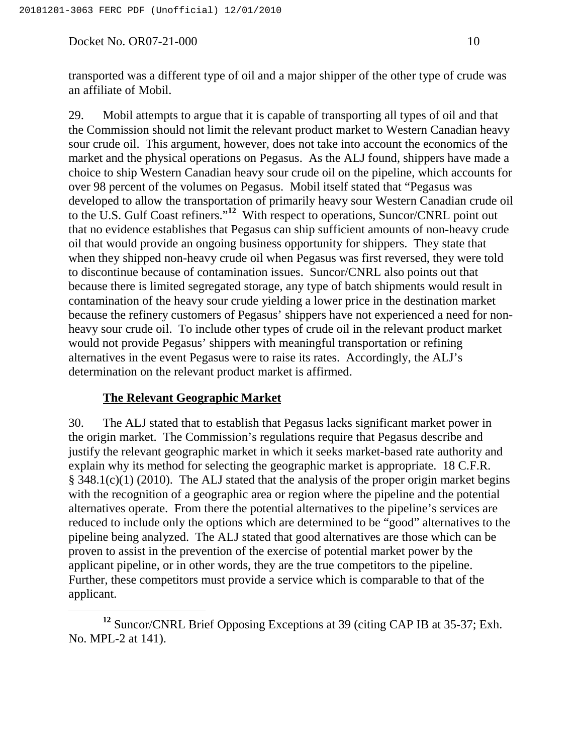transported was a different type of oil and a major shipper of the other type of crude was an affiliate of Mobil.

29. Mobil attempts to argue that it is capable of transporting all types of oil and that the Commission should not limit the relevant product market to Western Canadian heavy sour crude oil. This argument, however, does not take into account the economics of the market and the physical operations on Pegasus. As the ALJ found, shippers have made a choice to ship Western Canadian heavy sour crude oil on the pipeline, which accounts for over 98 percent of the volumes on Pegasus. Mobil itself stated that "Pegasus was developed to allow the transportation of primarily heavy sour Western Canadian crude oil to the U.S. Gulf Coast refiners."<sup>12</sup> With respect to operations, Suncor/CNRL point out that no evidence establishes that Pegasus can ship sufficient amounts of non-heavy crude oil that would provide an ongoing business opportunity for shippers. They state that when they shipped non-heavy crude oil when Pegasus was first reversed, they were told to discontinue because of contamination issues. Suncor/CNRL also points out that because there is limited segregated storage, any type of batch shipments would result in contamination of the heavy sour crude yielding a lower price in the destination market because the refinery customers of Pegasus' shippers have not experienced a need for nonheavy sour crude oil. To include other types of crude oil in the relevant product market would not provide Pegasus' shippers with meaningful transportation or refining alternatives in the event Pegasus were to raise its rates. Accordingly, the ALJ's determination on the relevant product market is affirmed.

### **The Relevant Geographic Market**

30. The ALJ stated that to establish that Pegasus lacks significant market power in the origin market. The Commission's regulations require that Pegasus describe and justify the relevant geographic market in which it seeks market-based rate authority and explain why its method for selecting the geographic market is appropriate. 18 C.F.R. § 348.1(c)(1) (2010). The ALJ stated that the analysis of the proper origin market begins with the recognition of a geographic area or region where the pipeline and the potential alternatives operate. From there the potential alternatives to the pipeline's services are reduced to include only the options which are determined to be "good" alternatives to the pipeline being analyzed. The ALJ stated that good alternatives are those which can be proven to assist in the prevention of the exercise of potential market power by the applicant pipeline, or in other words, they are the true competitors to the pipeline. Further, these competitors must provide a service which is comparable to that of the applicant.

**<sup>12</sup>** Suncor/CNRL Brief Opposing Exceptions at 39 (citing CAP IB at 35-37; Exh. No. MPL-2 at 141).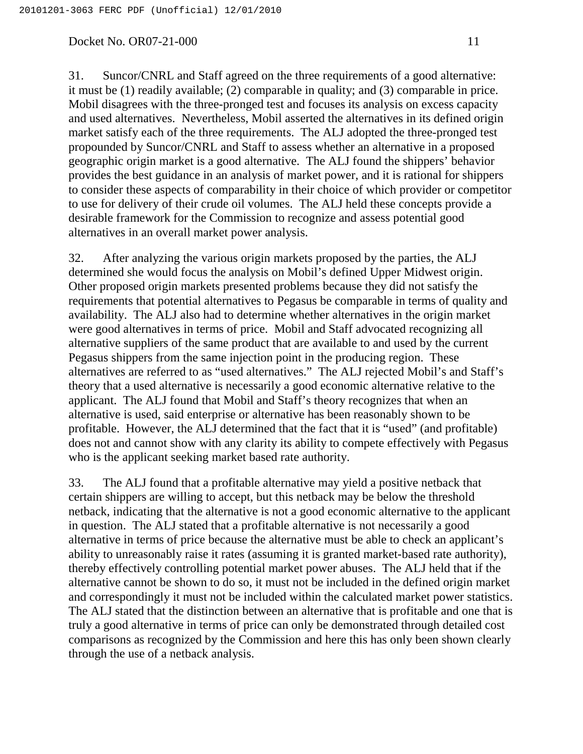31. Suncor/CNRL and Staff agreed on the three requirements of a good alternative: it must be (1) readily available; (2) comparable in quality; and (3) comparable in price. Mobil disagrees with the three-pronged test and focuses its analysis on excess capacity and used alternatives. Nevertheless, Mobil asserted the alternatives in its defined origin market satisfy each of the three requirements. The ALJ adopted the three-pronged test propounded by Suncor/CNRL and Staff to assess whether an alternative in a proposed geographic origin market is a good alternative. The ALJ found the shippers' behavior provides the best guidance in an analysis of market power, and it is rational for shippers to consider these aspects of comparability in their choice of which provider or competitor to use for delivery of their crude oil volumes. The ALJ held these concepts provide a desirable framework for the Commission to recognize and assess potential good alternatives in an overall market power analysis.

32. After analyzing the various origin markets proposed by the parties, the ALJ determined she would focus the analysis on Mobil's defined Upper Midwest origin. Other proposed origin markets presented problems because they did not satisfy the requirements that potential alternatives to Pegasus be comparable in terms of quality and availability. The ALJ also had to determine whether alternatives in the origin market were good alternatives in terms of price. Mobil and Staff advocated recognizing all alternative suppliers of the same product that are available to and used by the current Pegasus shippers from the same injection point in the producing region. These alternatives are referred to as "used alternatives." The ALJ rejected Mobil's and Staff's theory that a used alternative is necessarily a good economic alternative relative to the applicant. The ALJ found that Mobil and Staff's theory recognizes that when an alternative is used, said enterprise or alternative has been reasonably shown to be profitable. However, the ALJ determined that the fact that it is "used" (and profitable) does not and cannot show with any clarity its ability to compete effectively with Pegasus who is the applicant seeking market based rate authority.

33. The ALJ found that a profitable alternative may yield a positive netback that certain shippers are willing to accept, but this netback may be below the threshold netback, indicating that the alternative is not a good economic alternative to the applicant in question. The ALJ stated that a profitable alternative is not necessarily a good alternative in terms of price because the alternative must be able to check an applicant's ability to unreasonably raise it rates (assuming it is granted market-based rate authority), thereby effectively controlling potential market power abuses. The ALJ held that if the alternative cannot be shown to do so, it must not be included in the defined origin market and correspondingly it must not be included within the calculated market power statistics. The ALJ stated that the distinction between an alternative that is profitable and one that is truly a good alternative in terms of price can only be demonstrated through detailed cost comparisons as recognized by the Commission and here this has only been shown clearly through the use of a netback analysis.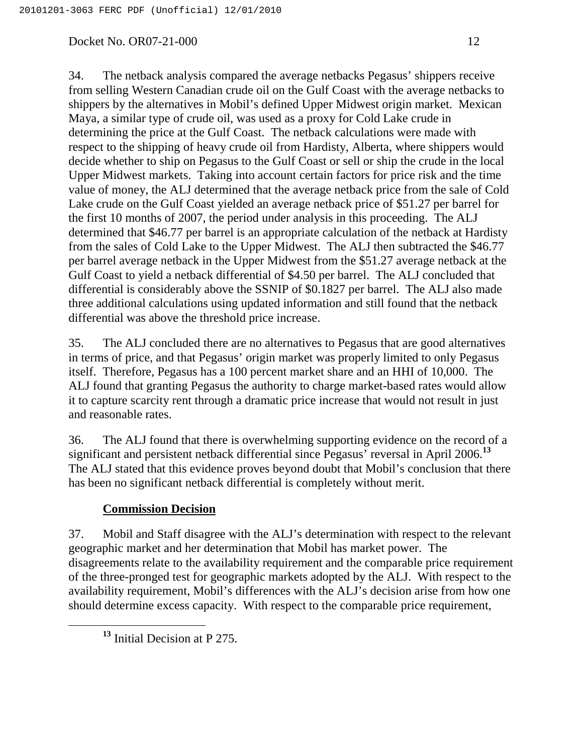34. The netback analysis compared the average netbacks Pegasus' shippers receive from selling Western Canadian crude oil on the Gulf Coast with the average netbacks to shippers by the alternatives in Mobil's defined Upper Midwest origin market. Mexican Maya, a similar type of crude oil, was used as a proxy for Cold Lake crude in determining the price at the Gulf Coast. The netback calculations were made with respect to the shipping of heavy crude oil from Hardisty, Alberta, where shippers would decide whether to ship on Pegasus to the Gulf Coast or sell or ship the crude in the local Upper Midwest markets. Taking into account certain factors for price risk and the time value of money, the ALJ determined that the average netback price from the sale of Cold Lake crude on the Gulf Coast yielded an average netback price of \$51.27 per barrel for the first 10 months of 2007, the period under analysis in this proceeding. The ALJ determined that \$46.77 per barrel is an appropriate calculation of the netback at Hardisty from the sales of Cold Lake to the Upper Midwest. The ALJ then subtracted the \$46.77 per barrel average netback in the Upper Midwest from the \$51.27 average netback at the Gulf Coast to yield a netback differential of \$4.50 per barrel. The ALJ concluded that differential is considerably above the SSNIP of \$0.1827 per barrel. The ALJ also made three additional calculations using updated information and still found that the netback differential was above the threshold price increase.

35. The ALJ concluded there are no alternatives to Pegasus that are good alternatives in terms of price, and that Pegasus' origin market was properly limited to only Pegasus itself. Therefore, Pegasus has a 100 percent market share and an HHI of 10,000. The ALJ found that granting Pegasus the authority to charge market-based rates would allow it to capture scarcity rent through a dramatic price increase that would not result in just and reasonable rates.

36. The ALJ found that there is overwhelming supporting evidence on the record of a significant and persistent netback differential since Pegasus' reversal in April 2006. **13** The ALJ stated that this evidence proves beyond doubt that Mobil's conclusion that there has been no significant netback differential is completely without merit.

## **Commission Decision**

37. Mobil and Staff disagree with the ALJ's determination with respect to the relevant geographic market and her determination that Mobil has market power. The disagreements relate to the availability requirement and the comparable price requirement of the three-pronged test for geographic markets adopted by the ALJ. With respect to the availability requirement, Mobil's differences with the ALJ's decision arise from how one should determine excess capacity. With respect to the comparable price requirement,

**<sup>13</sup>** Initial Decision at P 275.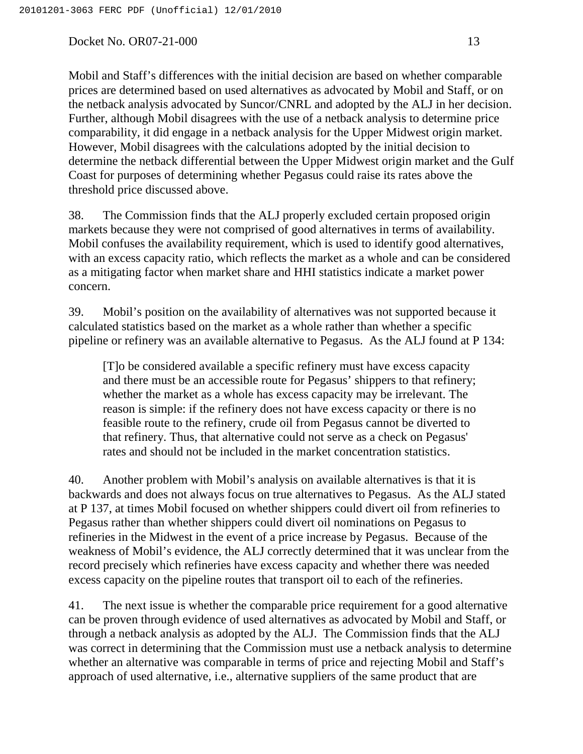Mobil and Staff's differences with the initial decision are based on whether comparable prices are determined based on used alternatives as advocated by Mobil and Staff, or on the netback analysis advocated by Suncor/CNRL and adopted by the ALJ in her decision. Further, although Mobil disagrees with the use of a netback analysis to determine price comparability, it did engage in a netback analysis for the Upper Midwest origin market. However, Mobil disagrees with the calculations adopted by the initial decision to determine the netback differential between the Upper Midwest origin market and the Gulf Coast for purposes of determining whether Pegasus could raise its rates above the threshold price discussed above.

38. The Commission finds that the ALJ properly excluded certain proposed origin markets because they were not comprised of good alternatives in terms of availability. Mobil confuses the availability requirement, which is used to identify good alternatives, with an excess capacity ratio, which reflects the market as a whole and can be considered as a mitigating factor when market share and HHI statistics indicate a market power concern.

39. Mobil's position on the availability of alternatives was not supported because it calculated statistics based on the market as a whole rather than whether a specific pipeline or refinery was an available alternative to Pegasus. As the ALJ found at P 134:

[T]o be considered available a specific refinery must have excess capacity and there must be an accessible route for Pegasus' shippers to that refinery; whether the market as a whole has excess capacity may be irrelevant. The reason is simple: if the refinery does not have excess capacity or there is no feasible route to the refinery, crude oil from Pegasus cannot be diverted to that refinery. Thus, that alternative could not serve as a check on Pegasus' rates and should not be included in the market concentration statistics.

40. Another problem with Mobil's analysis on available alternatives is that it is backwards and does not always focus on true alternatives to Pegasus. As the ALJ stated at P 137, at times Mobil focused on whether shippers could divert oil from refineries to Pegasus rather than whether shippers could divert oil nominations on Pegasus to refineries in the Midwest in the event of a price increase by Pegasus. Because of the weakness of Mobil's evidence, the ALJ correctly determined that it was unclear from the record precisely which refineries have excess capacity and whether there was needed excess capacity on the pipeline routes that transport oil to each of the refineries.

41. The next issue is whether the comparable price requirement for a good alternative can be proven through evidence of used alternatives as advocated by Mobil and Staff, or through a netback analysis as adopted by the ALJ. The Commission finds that the ALJ was correct in determining that the Commission must use a netback analysis to determine whether an alternative was comparable in terms of price and rejecting Mobil and Staff's approach of used alternative, i.e., alternative suppliers of the same product that are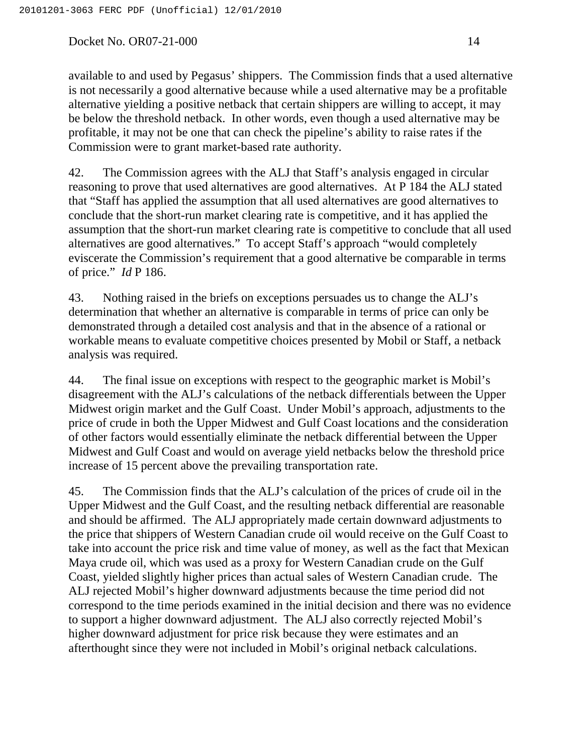available to and used by Pegasus' shippers. The Commission finds that a used alternative is not necessarily a good alternative because while a used alternative may be a profitable alternative yielding a positive netback that certain shippers are willing to accept, it may be below the threshold netback. In other words, even though a used alternative may be profitable, it may not be one that can check the pipeline's ability to raise rates if the Commission were to grant market-based rate authority.

42. The Commission agrees with the ALJ that Staff's analysis engaged in circular reasoning to prove that used alternatives are good alternatives. At P 184 the ALJ stated that "Staff has applied the assumption that all used alternatives are good alternatives to conclude that the short-run market clearing rate is competitive, and it has applied the assumption that the short-run market clearing rate is competitive to conclude that all used alternatives are good alternatives." To accept Staff's approach "would completely eviscerate the Commission's requirement that a good alternative be comparable in terms of price." *Id* P 186.

43. Nothing raised in the briefs on exceptions persuades us to change the ALJ's determination that whether an alternative is comparable in terms of price can only be demonstrated through a detailed cost analysis and that in the absence of a rational or workable means to evaluate competitive choices presented by Mobil or Staff, a netback analysis was required.

44. The final issue on exceptions with respect to the geographic market is Mobil's disagreement with the ALJ's calculations of the netback differentials between the Upper Midwest origin market and the Gulf Coast. Under Mobil's approach, adjustments to the price of crude in both the Upper Midwest and Gulf Coast locations and the consideration of other factors would essentially eliminate the netback differential between the Upper Midwest and Gulf Coast and would on average yield netbacks below the threshold price increase of 15 percent above the prevailing transportation rate.

45. The Commission finds that the ALJ's calculation of the prices of crude oil in the Upper Midwest and the Gulf Coast, and the resulting netback differential are reasonable and should be affirmed. The ALJ appropriately made certain downward adjustments to the price that shippers of Western Canadian crude oil would receive on the Gulf Coast to take into account the price risk and time value of money, as well as the fact that Mexican Maya crude oil, which was used as a proxy for Western Canadian crude on the Gulf Coast, yielded slightly higher prices than actual sales of Western Canadian crude. The ALJ rejected Mobil's higher downward adjustments because the time period did not correspond to the time periods examined in the initial decision and there was no evidence to support a higher downward adjustment. The ALJ also correctly rejected Mobil's higher downward adjustment for price risk because they were estimates and an afterthought since they were not included in Mobil's original netback calculations.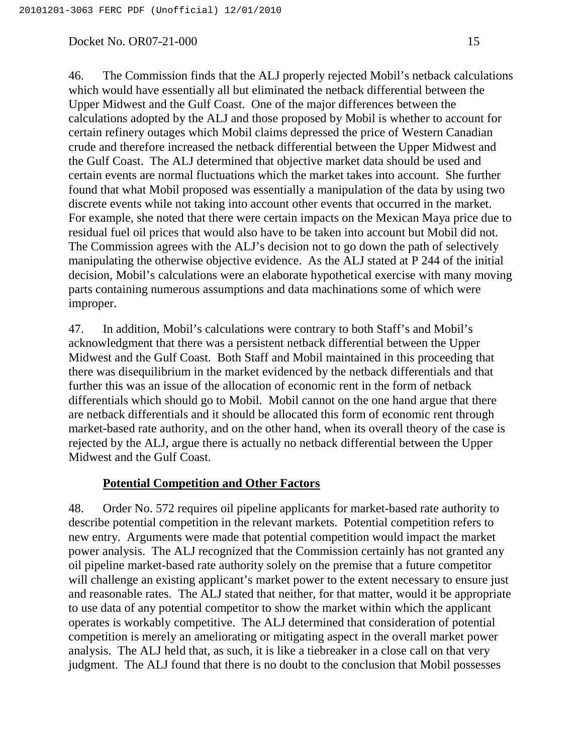46. The Commission finds that the ALJ properly rejected Mobil's netback calculations which would have essentially all but eliminated the netback differential between the Upper Midwest and the Gulf Coast. One of the major differences between the calculations adopted by the ALJ and those proposed by Mobil is whether to account for certain refinery outages which Mobil claims depressed the price of Western Canadian crude and therefore increased the netback differential between the Upper Midwest and the Gulf Coast. The ALJ determined that objective market data should be used and certain events are normal fluctuations which the market takes into account. She further found that what Mobil proposed was essentially a manipulation of the data by using two discrete events while not taking into account other events that occurred in the market. For example, she noted that there were certain impacts on the Mexican Maya price due to residual fuel oil prices that would also have to be taken into account but Mobil did not. The Commission agrees with the ALJ's decision not to go down the path of selectively manipulating the otherwise objective evidence. As the ALJ stated at P 244 of the initial decision, Mobil's calculations were an elaborate hypothetical exercise with many moving parts containing numerous assumptions and data machinations some of which were improper.

47. In addition, Mobil's calculations were contrary to both Staff's and Mobil's acknowledgment that there was a persistent netback differential between the Upper Midwest and the Gulf Coast. Both Staff and Mobil maintained in this proceeding that there was disequilibrium in the market evidenced by the netback differentials and that further this was an issue of the allocation of economic rent in the form of netback differentials which should go to Mobil. Mobil cannot on the one hand argue that there are netback differentials and it should be allocated this form of economic rent through market-based rate authority, and on the other hand, when its overall theory of the case is rejected by the ALJ, argue there is actually no netback differential between the Upper Midwest and the Gulf Coast.

## **Potential Competition and Other Factors**

48. Order No. 572 requires oil pipeline applicants for market-based rate authority to describe potential competition in the relevant markets. Potential competition refers to new entry. Arguments were made that potential competition would impact the market power analysis. The ALJ recognized that the Commission certainly has not granted any oil pipeline market-based rate authority solely on the premise that a future competitor will challenge an existing applicant's market power to the extent necessary to ensure just and reasonable rates. The ALJ stated that neither, for that matter, would it be appropriate to use data of any potential competitor to show the market within which the applicant operates is workably competitive. The ALJ determined that consideration of potential competition is merely an ameliorating or mitigating aspect in the overall market power analysis. The ALJ held that, as such, it is like a tiebreaker in a close call on that very judgment. The ALJ found that there is no doubt to the conclusion that Mobil possesses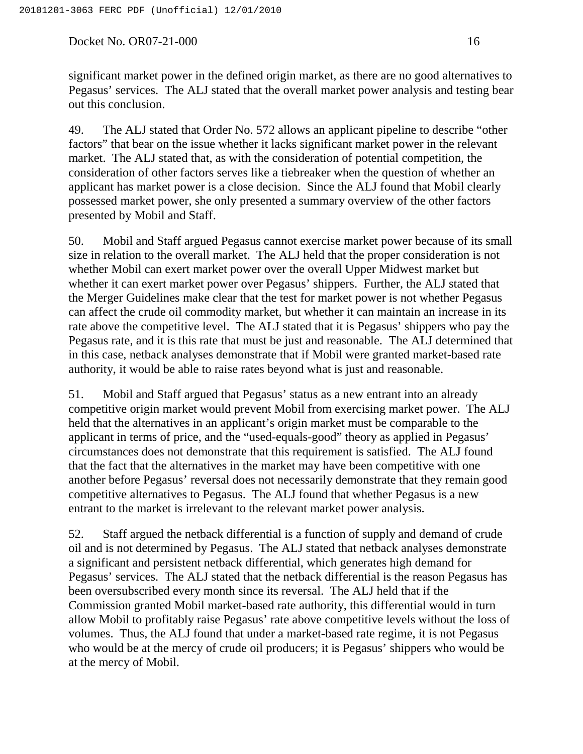significant market power in the defined origin market, as there are no good alternatives to Pegasus' services. The ALJ stated that the overall market power analysis and testing bear out this conclusion.

49. The ALJ stated that Order No. 572 allows an applicant pipeline to describe "other factors" that bear on the issue whether it lacks significant market power in the relevant market. The ALJ stated that, as with the consideration of potential competition, the consideration of other factors serves like a tiebreaker when the question of whether an applicant has market power is a close decision. Since the ALJ found that Mobil clearly possessed market power, she only presented a summary overview of the other factors presented by Mobil and Staff.

50. Mobil and Staff argued Pegasus cannot exercise market power because of its small size in relation to the overall market. The ALJ held that the proper consideration is not whether Mobil can exert market power over the overall Upper Midwest market but whether it can exert market power over Pegasus' shippers. Further, the ALJ stated that the Merger Guidelines make clear that the test for market power is not whether Pegasus can affect the crude oil commodity market, but whether it can maintain an increase in its rate above the competitive level. The ALJ stated that it is Pegasus' shippers who pay the Pegasus rate, and it is this rate that must be just and reasonable. The ALJ determined that in this case, netback analyses demonstrate that if Mobil were granted market-based rate authority, it would be able to raise rates beyond what is just and reasonable.

51. Mobil and Staff argued that Pegasus' status as a new entrant into an already competitive origin market would prevent Mobil from exercising market power. The ALJ held that the alternatives in an applicant's origin market must be comparable to the applicant in terms of price, and the "used-equals-good" theory as applied in Pegasus' circumstances does not demonstrate that this requirement is satisfied. The ALJ found that the fact that the alternatives in the market may have been competitive with one another before Pegasus' reversal does not necessarily demonstrate that they remain good competitive alternatives to Pegasus. The ALJ found that whether Pegasus is a new entrant to the market is irrelevant to the relevant market power analysis.

52. Staff argued the netback differential is a function of supply and demand of crude oil and is not determined by Pegasus. The ALJ stated that netback analyses demonstrate a significant and persistent netback differential, which generates high demand for Pegasus' services. The ALJ stated that the netback differential is the reason Pegasus has been oversubscribed every month since its reversal. The ALJ held that if the Commission granted Mobil market-based rate authority, this differential would in turn allow Mobil to profitably raise Pegasus' rate above competitive levels without the loss of volumes. Thus, the ALJ found that under a market-based rate regime, it is not Pegasus who would be at the mercy of crude oil producers; it is Pegasus' shippers who would be at the mercy of Mobil.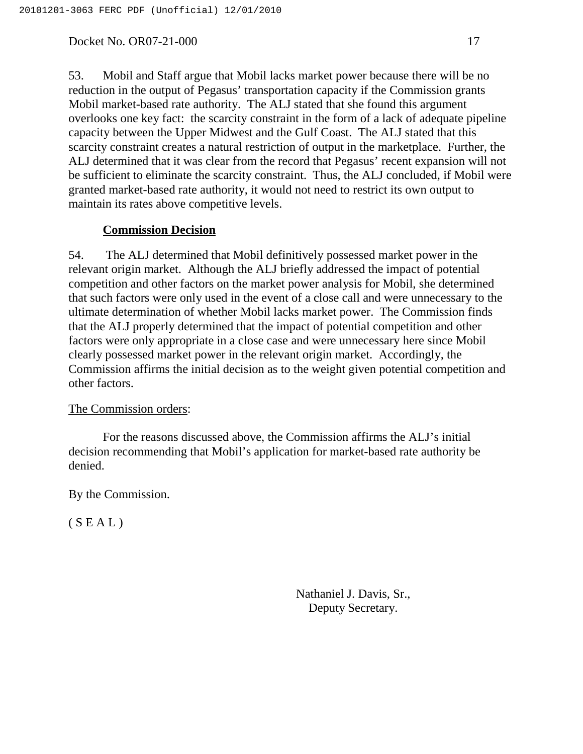53. Mobil and Staff argue that Mobil lacks market power because there will be no reduction in the output of Pegasus' transportation capacity if the Commission grants Mobil market-based rate authority. The ALJ stated that she found this argument overlooks one key fact: the scarcity constraint in the form of a lack of adequate pipeline capacity between the Upper Midwest and the Gulf Coast. The ALJ stated that this scarcity constraint creates a natural restriction of output in the marketplace. Further, the ALJ determined that it was clear from the record that Pegasus' recent expansion will not be sufficient to eliminate the scarcity constraint. Thus, the ALJ concluded, if Mobil were granted market-based rate authority, it would not need to restrict its own output to maintain its rates above competitive levels.

### **Commission Decision**

54. The ALJ determined that Mobil definitively possessed market power in the relevant origin market. Although the ALJ briefly addressed the impact of potential competition and other factors on the market power analysis for Mobil, she determined that such factors were only used in the event of a close call and were unnecessary to the ultimate determination of whether Mobil lacks market power. The Commission finds that the ALJ properly determined that the impact of potential competition and other factors were only appropriate in a close case and were unnecessary here since Mobil clearly possessed market power in the relevant origin market. Accordingly, the Commission affirms the initial decision as to the weight given potential competition and other factors.

### The Commission orders:

For the reasons discussed above, the Commission affirms the ALJ's initial decision recommending that Mobil's application for market-based rate authority be denied.

By the Commission.

 $(S E A L)$ 

Nathaniel J. Davis, Sr., Deputy Secretary.